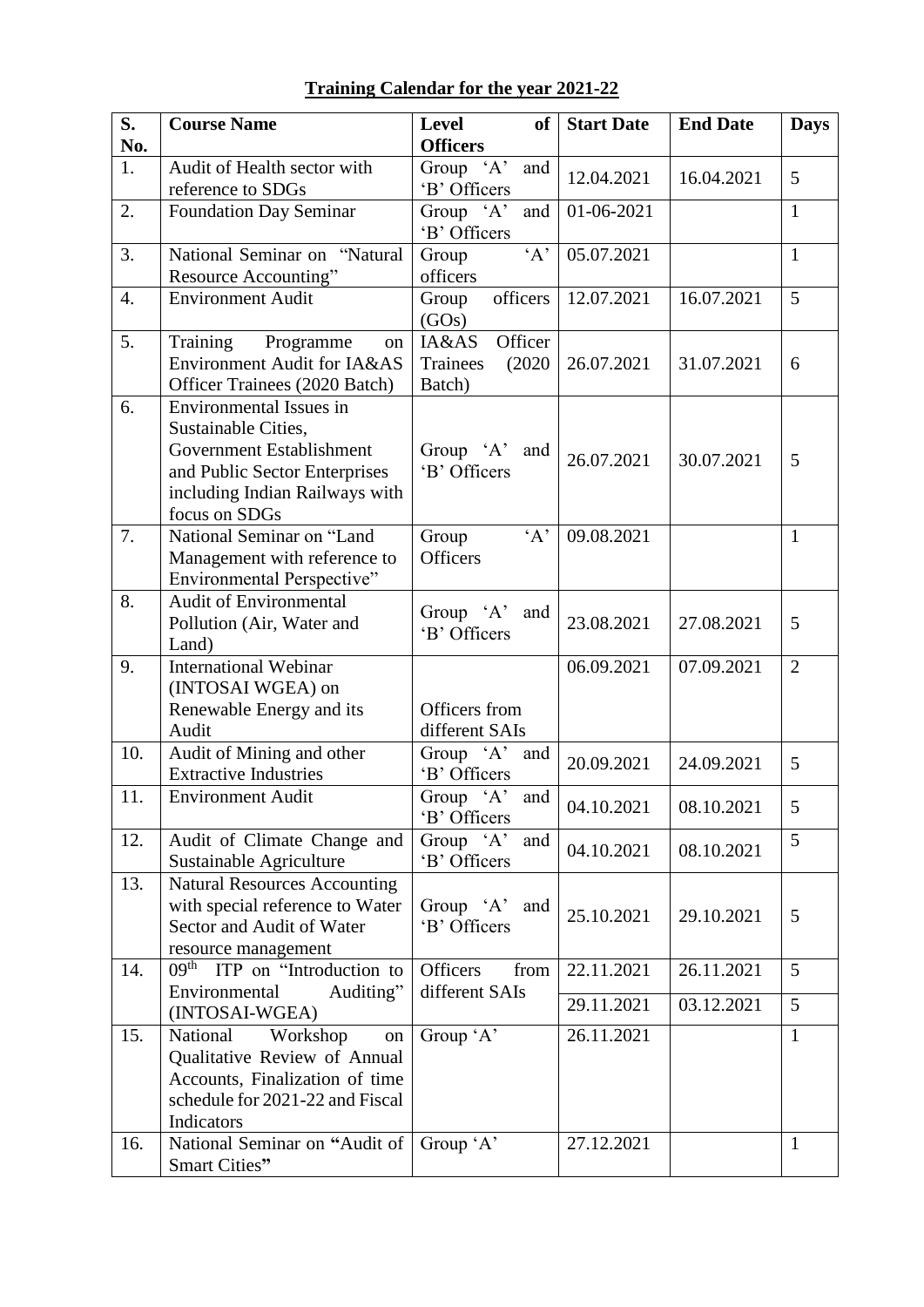| S.               | <b>Course Name</b>                                                                                                                                             | <b>Level</b><br>of                               | <b>Start Date</b> | <b>End Date</b> | <b>Days</b>    |
|------------------|----------------------------------------------------------------------------------------------------------------------------------------------------------------|--------------------------------------------------|-------------------|-----------------|----------------|
| No.              |                                                                                                                                                                | <b>Officers</b>                                  |                   |                 |                |
| 1.               | Audit of Health sector with<br>reference to SDGs                                                                                                               | Group 'A'<br>and<br>'B' Officers                 | 12.04.2021        | 16.04.2021      | 5              |
| 2.               | <b>Foundation Day Seminar</b>                                                                                                                                  | Group $\overline{A'}$<br>and<br>'B' Officers     | 01-06-2021        |                 | $\mathbf{1}$   |
| 3.               | National Seminar on "Natural<br>Resource Accounting"                                                                                                           | A<br>Group<br>officers                           | 05.07.2021        |                 | $\mathbf{1}$   |
| $\overline{4}$ . | <b>Environment Audit</b>                                                                                                                                       | officers<br>Group<br>(GOs)                       | 12.07.2021        | 16.07.2021      | 5              |
| 5.               | Training<br>Programme<br>on<br>Environment Audit for IA&AS<br>Officer Trainees (2020 Batch)                                                                    | IA&AS<br>Officer<br>(2020)<br>Trainees<br>Batch) | 26.07.2021        | 31.07.2021      | 6              |
| 6.               | Environmental Issues in<br>Sustainable Cities,<br>Government Establishment<br>and Public Sector Enterprises<br>including Indian Railways with<br>focus on SDGs | Group $A$<br>and<br>'B' Officers                 | 26.07.2021        | 30.07.2021      | 5              |
| 7.               | National Seminar on "Land<br>Management with reference to<br>Environmental Perspective"                                                                        | A<br>Group<br><b>Officers</b>                    | 09.08.2021        |                 | $\mathbf{1}$   |
| 8.               | <b>Audit of Environmental</b><br>Pollution (Air, Water and<br>Land)                                                                                            | Group 'A'<br>and<br>'B' Officers                 | 23.08.2021        | 27.08.2021      | 5              |
| 9.               | <b>International Webinar</b><br>(INTOSAI WGEA) on<br>Renewable Energy and its<br>Audit                                                                         | Officers from<br>different SAIs                  | 06.09.2021        | 07.09.2021      | $\overline{2}$ |
| 10.              | Audit of Mining and other<br><b>Extractive Industries</b>                                                                                                      | and<br>Group $A$<br>'B' Officers                 | 20.09.2021        | 24.09.2021      | 5              |
| 11.              | <b>Environment Audit</b>                                                                                                                                       | Group 'A'<br>and<br>'B' Officers                 | 04.10.2021        | 08.10.2021      | 5              |
| 12.              | Audit of Climate Change and<br>Sustainable Agriculture                                                                                                         | Group $A$ '<br>and<br>'B' Officers               | 04.10.2021        | 08.10.2021      | 5              |
| 13.              | <b>Natural Resources Accounting</b><br>with special reference to Water<br>Sector and Audit of Water<br>resource management                                     | Group $A$<br>and<br>'B' Officers                 | 25.10.2021        | 29.10.2021      | 5              |
| 14.              | 09 <sup>th</sup> ITP on "Introduction to<br>Auditing"<br>Environmental                                                                                         | Officers<br>from<br>different SAIs               | 22.11.2021        | 26.11.2021      | 5              |
|                  | (INTOSAI-WGEA)                                                                                                                                                 |                                                  | 29.11.2021        | 03.12.2021      | 5              |
| 15.              | National<br>Workshop<br>on<br>Qualitative Review of Annual<br>Accounts, Finalization of time<br>schedule for 2021-22 and Fiscal<br>Indicators                  | Group 'A'                                        | 26.11.2021        |                 | $\mathbf{1}$   |
| 16.              | National Seminar on "Audit of<br>Smart Cities"                                                                                                                 | Group 'A'                                        | 27.12.2021        |                 | $\mathbf{1}$   |

## **Training Calendar for the year 2021-22**